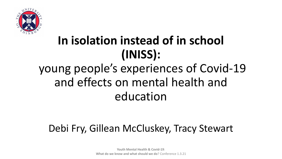

# **In isolation instead of in school (INISS):**

## young people's experiences of Covid-19 and effects on mental health and education

#### Debi Fry, Gillean McCluskey, Tracy Stewart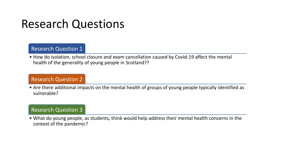### Research Questions

#### Research Question 1

• How do isolation, school closure and exam cancellation caused by Covid-19 affect the mental health of the generality of young people in Scotland??

#### Research Question 2

• Are there additional impacts on the mental health of groups of young people typically identified as vulnerable?

#### Research Question 3

• What do young people, as students, think would help address their mental health concerns in the context of the pandemic?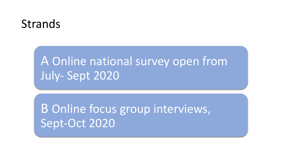### Strands

## A Online national survey open from July- Sept 2020

B Online focus group interviews, Sept-Oct 2020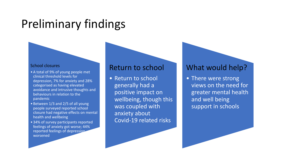## Preliminary findings

#### School closures

- A total of 9% of young people met clinical threshold levels for depression, 7% for anxiety and 28% categorised as having elevated avoidance and intrusive thoughts and behaviours in relation to the pandemic
- Between 1/3 and 2/5 of all young people surveyed reported school closure had negative effects on mental health and wellbeing
- 34% of survey participants reported feelings of anxiety got worse; 44% reported feelings of depression worsened

#### Return to school

• Return to school generally had a positive impact on wellbeing, though this was coupled with anxiety about Covid-19 related risks

#### What would help?

• There were strong views on the need for greater mental health and well being support in schools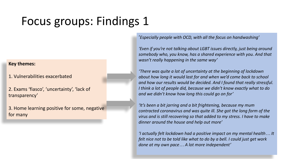## Focus groups: Findings 1

#### **Key themes:**

1. Vulnerabilities exacerbated

2. Exams 'fiasco', 'uncertainty', 'lack of transparency'

3. Home learning positive for some, negative for many

'*Especially people with OCD, with all the focus on handwashing'*

*'Even if you're not talking about LGBT issues directly, just being around somebody who, you know, has a shared experience with you. And that wasn't really happening in the same way'*

*'There was quite a lot of uncertainty at the beginning of lockdown about how long it would last for and when we'd come back to school and how our results would be decided. And I found that really stressful. I think a lot of people did, because we didn't know exactly what to do and we didn't know how long this could go on for'*

*'It's been a bit jarring and a bit frightening, because my mum contracted coronavirus and was quite ill. She got the long form of the virus and is still recovering so that added to my stress. I have to make dinner around the house and help out more'*

*'I actually felt lockdown had a positive impact on my mental health… It felt nice not to be told like what to do by a bell. I could just get work done at my own pace… A lot more independent'*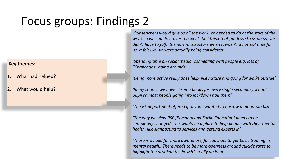## Focus groups: Findings 2

#### **Key themes:**

- 1. What had helped?
- What would help?

*'Our teachers would give us all the work we needed to do at the start of the week so we can do it over the week. So I think that put less stress on us, we didn't have to fulfil the normal structure when it wasn't a normal time for us. It felt like we were actually being considered'.*

*'Spending time on social media, connecting with people e.g. lots of "Challenges" going around!'*

*'Being more active really does help, like nature and going for walks outside'*

*'In my council we have chrome books for every single secondary school pupil so most people going into lockdown had them'*

*'The PE department offered if anyone wanted to borrow a mountain bike'*

*'The way we view PSE [Personal and Social Education] needs to be completely changed. This would be a place to help people with their mental health, like signposting to services and getting experts in'*

*'There is a need for more awareness, for teachers to get basic training in mental health.. There needs to be more openness around suicide rates to highlight the problem to show it's really an issue'*